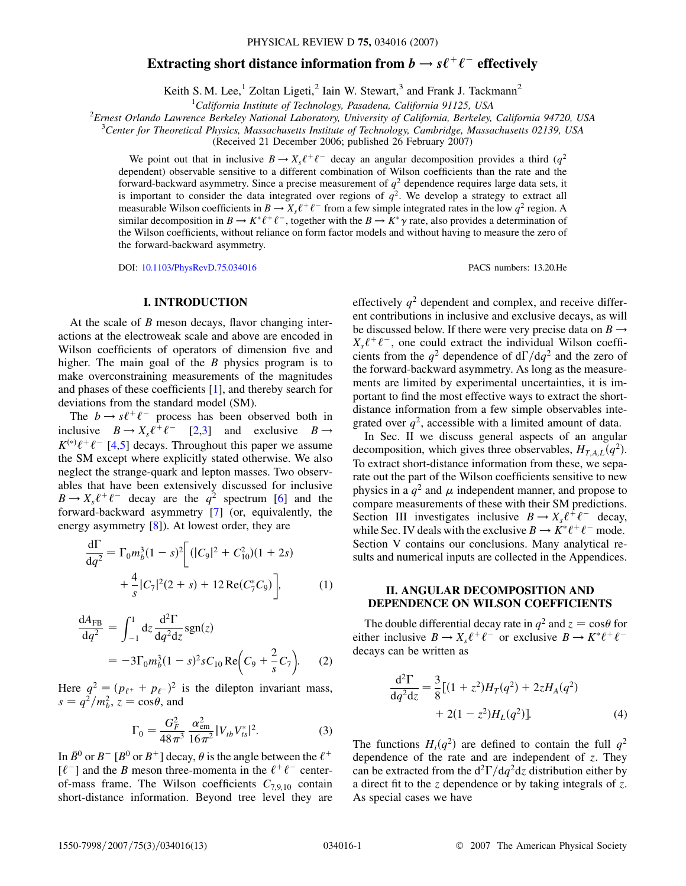# **Extracting short distance information from**  $b \rightarrow s\ell^+\ell^-$  **effectively**

Keith S. M. Lee,<sup>1</sup> Zoltan Ligeti,<sup>2</sup> Iain W. Stewart,<sup>3</sup> and Frank J. Tackmann<sup>2</sup>

<sup>1</sup>California Institute of Technology, Pasadena, California 91125, USA *California Institute of Technology, Pasadena, California 91125, USA* <sup>2</sup>

*Ernest Orlando Lawrence Berkeley National Laboratory, University of California, Berkeley, California 94720, USA* <sup>3</sup>

*Center for Theoretical Physics, Massachusetts Institute of Technology, Cambridge, Massachusetts 02139, USA*

(Received 21 December 2006; published 26 February 2007)

We point out that in inclusive  $B \to X_s \ell^+ \ell^-$  decay an angular decomposition provides a third (*q*<sup>2</sup>) dependent) observable sensitive to a different combination of Wilson coefficients than the rate and the forward-backward asymmetry. Since a precise measurement of  $q<sup>2</sup>$  dependence requires large data sets, it is important to consider the data integrated over regions of  $q^2$ . We develop a strategy to extract all measurable Wilson coefficients in  $B \to X_s \ell^+ \ell^-$  from a few simple integrated rates in the low  $q^2$  region. A similar decomposition in  $B \to K^* \ell^+ \ell^-$ , together with the  $B \to K^* \gamma$  rate, also provides a determination of the Wilson coefficients, without reliance on form factor models and without having to measure the zero of the forward-backward asymmetry.

DOI: [10.1103/PhysRevD.75.034016](http://dx.doi.org/10.1103/PhysRevD.75.034016) PACS numbers: 13.20.He

## **I. INTRODUCTION**

At the scale of *B* meson decays, flavor changing interactions at the electroweak scale and above are encoded in Wilson coefficients of operators of dimension five and higher. The main goal of the *B* physics program is to make overconstraining measurements of the magnitudes and phases of these coefficients [[1](#page-12-0)], and thereby search for deviations from the standard model (SM).

The  $b \rightarrow s\ell^+\ell^-$  process has been observed both in inclusive  $B \to X_s \ell^+ \ell^-$  [\[2,](#page-12-1)[3](#page-12-2)] and exclusive  $B \to$  $K^{(*)}\ell^+\ell^-$  [\[4](#page-12-3),[5](#page-12-4)] decays. Throughout this paper we assume the SM except where explicitly stated otherwise. We also neglect the strange-quark and lepton masses. Two observables that have been extensively discussed for inclusive  $B \to X_s \ell^+ \ell^-$  decay are the  $q^2$  spectrum [[6](#page-12-5)] and the forward-backward asymmetry [[7\]](#page-12-6) (or, equivalently, the energy asymmetry [[8\]](#page-12-7)). At lowest order, they are

$$
\frac{d\Gamma}{dq^2} = \Gamma_0 m_b^3 (1 - s)^2 \left[ (|C_9|^2 + C_{10}^2)(1 + 2s) + \frac{4}{s} |C_7|^2 (2 + s) + 12 \operatorname{Re}(C_7^* C_9) \right],\tag{1}
$$

$$
\frac{dA_{FB}}{dq^2} = \int_{-1}^{1} dz \frac{d^2 \Gamma}{dq^2 dz} sgn(z)
$$
  
=  $-3\Gamma_0 m_b^3 (1 - s)^2 s C_{10} \text{Re} \left( C_9 + \frac{2}{s} C_7 \right).$  (2)

<span id="page-0-1"></span>Here  $q^2 = (p_{\ell^+} + p_{\ell^-})^2$  is the dilepton invariant mass,  $s = q^2/m_b^2$ ,  $z = \cos\theta$ , and

$$
\Gamma_0 = \frac{G_F^2}{48\pi^3} \frac{\alpha_{\rm em}^2}{16\pi^2} |V_{tb}V_{ts}^*|^2.
$$
 (3)

In  $\bar{B}^0$  or  $B^-$  [ $B^0$  or  $B^+$ ] decay,  $\theta$  is the angle between the  $\ell^+$  $[\ell^-]$  and the *B* meson three-momenta in the  $\ell^+ \ell^-$  centerof-mass frame. The Wilson coefficients *C*7*;*9*;*<sup>10</sup> contain short-distance information. Beyond tree level they are effectively  $q^2$  dependent and complex, and receive different contributions in inclusive and exclusive decays, as will be discussed below. If there were very precise data on  $B \rightarrow$  $X_s \ell^+ \ell^-$ , one could extract the individual Wilson coefficients from the  $q^2$  dependence of  $d\Gamma/dq^2$  and the zero of the forward-backward asymmetry. As long as the measurements are limited by experimental uncertainties, it is important to find the most effective ways to extract the shortdistance information from a few simple observables integrated over  $q^2$ , accessible with a limited amount of data.

In Sec. II we discuss general aspects of an angular decomposition, which gives three observables,  $H_{TAL}(q^2)$ . To extract short-distance information from these, we separate out the part of the Wilson coefficients sensitive to new physics in a  $q^2$  and  $\mu$  independent manner, and propose to compare measurements of these with their SM predictions. Section III investigates inclusive  $B \to X_s \ell^+ \ell^-$  decay, while Sec. IV deals with the exclusive  $B \to K^* \ell^+ \ell^-$  mode. Section V contains our conclusions. Many analytical results and numerical inputs are collected in the Appendices.

## **II. ANGULAR DECOMPOSITION AND DEPENDENCE ON WILSON COEFFICIENTS**

<span id="page-0-0"></span>The double differential decay rate in  $q^2$  and  $z = \cos\theta$  for either inclusive  $B \to X_s \ell^+ \ell^-$  or exclusive  $B \to K^* \ell^+ \ell^$ decays can be written as

$$
\frac{d^2\Gamma}{dq^2dz} = \frac{3}{8}[(1+z^2)H_T(q^2) + 2zH_A(q^2) + 2(1-z^2)H_L(q^2)].
$$
\n(4)

The functions  $H_i(q^2)$  are defined to contain the full  $q^2$ dependence of the rate and are independent of *z*. They can be extracted from the  $d^2\Gamma/dq^2dz$  distribution either by a direct fit to the *z* dependence or by taking integrals of *z*. As special cases we have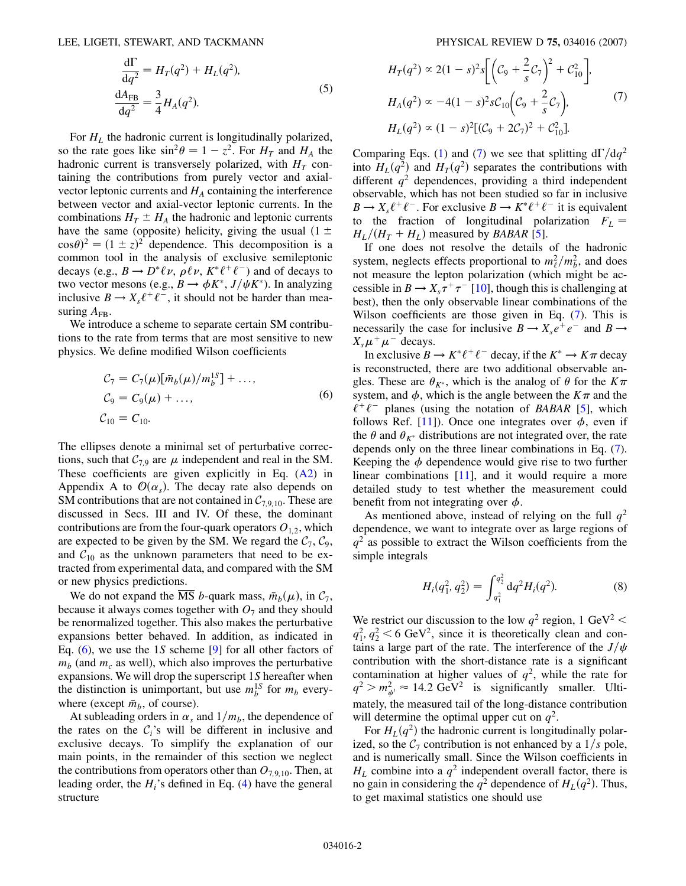LEE, LIGETI, STEWART, AND TACKMANN PHYSICAL REVIEW D **75,** 034016 (2007)

$$
\frac{\mathrm{d}\Gamma}{\mathrm{d}q^2} = H_T(q^2) + H_L(q^2),
$$
  
\n
$$
\frac{\mathrm{d}A_{\text{FB}}}{\mathrm{d}q^2} = \frac{3}{4} H_A(q^2).
$$
\n(5)

For  $H_L$  the hadronic current is longitudinally polarized, so the rate goes like  $\sin^2 \theta = 1 - z^2$ . For  $H_T$  and  $H_A$  the hadronic current is transversely polarized, with  $H_T$  containing the contributions from purely vector and axialvector leptonic currents and  $H_A$  containing the interference between vector and axial-vector leptonic currents. In the combinations  $H_T \pm H_A$  the hadronic and leptonic currents have the same (opposite) helicity, giving the usual  $(1 \pm$  $\cos\theta$ <sup>2</sup> =  $(1 \pm z)^2$  dependence. This decomposition is a common tool in the analysis of exclusive semileptonic decays (e.g.,  $B \to D^* \ell \nu$ ,  $\rho \ell \nu$ ,  $K^* \ell^+ \ell^-$ ) and of decays to two vector mesons (e.g.,  $B \to \phi K^*$ ,  $J/\psi K^*$ ). In analyzing inclusive  $B \to X_s \ell^+ \ell^-$ , it should not be harder than measuring  $A_{\text{FR}}$ .

<span id="page-1-0"></span>We introduce a scheme to separate certain SM contributions to the rate from terms that are most sensitive to new physics. We define modified Wilson coefficients

$$
C_7 = C_7(\mu)[\bar{m}_b(\mu)/m_b^{1S}] + ..., C_9 = C_9(\mu) + ..., C_{10} = C_{10}.
$$
 (6)

The ellipses denote a minimal set of perturbative corrections, such that  $C_{7.9}$  are  $\mu$  independent and real in the SM. These coefficients are given explicitly in Eq. ([A2\)](#page-8-0) in Appendix A to  $\mathcal{O}(\alpha_s)$ . The decay rate also depends on SM contributions that are not contained in  $C_{7,9,10}$ . These are discussed in Secs. III and IV. Of these, the dominant contributions are from the four-quark operators  $O_{1,2}$ , which are expected to be given by the SM. We regard the  $C_7$ ,  $C_9$ , and  $C_{10}$  as the unknown parameters that need to be extracted from experimental data, and compared with the SM or new physics predictions.

We do not expand the  $\overline{\text{MS}}$  *b*-quark mass,  $\bar{m}_b(\mu)$ , in  $\mathcal{C}_7$ , because it always comes together with  $O_7$  and they should be renormalized together. This also makes the perturbative expansions better behaved. In addition, as indicated in Eq. [\(6](#page-1-0)), we use the 1*S* scheme [[9\]](#page-12-8) for all other factors of  $m_b$  (and  $m_c$  as well), which also improves the perturbative expansions. We will drop the superscript 1*S* hereafter when the distinction is unimportant, but use  $m_b^{1S}$  for  $m_b$  everywhere (except  $\bar{m}_b$ , of course).

At subleading orders in  $\alpha_s$  and  $1/m_b$ , the dependence of the rates on the  $C_i$ 's will be different in inclusive and exclusive decays. To simplify the explanation of our main points, in the remainder of this section we neglect the contributions from operators other than  $O_{7,9,10}$ . Then, at leading order, the  $H_i$ 's defined in Eq.  $(4)$  $(4)$  $(4)$  have the general structure

<span id="page-1-1"></span>
$$
H_T(q^2) \propto 2(1-s)^2 s \left[ \left( C_9 + \frac{2}{s} C_7 \right)^2 + C_{10}^2 \right],
$$
  
\n
$$
H_A(q^2) \propto -4(1-s)^2 s C_{10} \left( C_9 + \frac{2}{s} C_7 \right),
$$
  
\n
$$
H_L(q^2) \propto (1-s)^2 \left[ (C_9 + 2C_7)^2 + C_{10}^2 \right].
$$
 (7)

Comparing Eqs. [\(1](#page-0-1)) and ([7\)](#page-1-1) we see that splitting  $d\Gamma/dq^2$ into  $H<sub>L</sub>(q<sup>2</sup>)$  and  $H<sub>T</sub>(q<sup>2</sup>)$  separates the contributions with different  $q^2$  dependences, providing a third independent observable, which has not been studied so far in inclusive  $B \to X_s \ell^+ \ell^-$ . For exclusive  $B \to K^* \ell^+ \ell^-$  it is equivalent to the fraction of longitudinal polarization  $F<sub>L</sub>$  =  $H_L/(H_T + H_L)$  measured by *BABAR* [\[5](#page-12-4)].

If one does not resolve the details of the hadronic system, neglects effects proportional to  $m_\ell^2/m_b^2$ , and does not measure the lepton polarization (which might be accessible in  $B \to X_s \tau^+ \tau^-$  [\[10](#page-12-9)], though this is challenging at best), then the only observable linear combinations of the Wilson coefficients are those given in Eq. ([7](#page-1-1)). This is necessarily the case for inclusive  $B \to X_s e^+ e^-$  and  $B \to$  $X_s\mu^+\mu^-$  decays.

In exclusive  $B \to K^* \ell^+ \ell^-$  decay, if the  $K^* \to K \pi$  decay is reconstructed, there are two additional observable angles. These are  $\theta_{K^*}$ , which is the analog of  $\theta$  for the  $K\pi$ system, and  $\phi$ , which is the angle between the  $K\pi$  and the  $\ell^+ \ell^-$  planes (using the notation of *BABAR* [\[5](#page-12-4)], which follows Ref. [\[11\]](#page-12-10)). Once one integrates over  $\phi$ , even if the  $\theta$  and  $\theta_{K^*}$  distributions are not integrated over, the rate depends only on the three linear combinations in Eq. ([7\)](#page-1-1). Keeping the  $\phi$  dependence would give rise to two further linear combinations [\[11\]](#page-12-10), and it would require a more detailed study to test whether the measurement could benefit from not integrating over  $\phi$ .

As mentioned above, instead of relying on the full  $q^2$ dependence, we want to integrate over as large regions of  $q<sup>2</sup>$  as possible to extract the Wilson coefficients from the simple integrals

$$
H_i(q_1^2, q_2^2) = \int_{q_1^2}^{q_2^2} dq^2 H_i(q^2).
$$
 (8)

We restrict our discussion to the low  $q^2$  region, 1 GeV<sup>2</sup> <  $q_1^2, q_2^2 < 6$  GeV<sup>2</sup>, since it is theoretically clean and contains a large part of the rate. The interference of the  $J/\psi$ contribution with the short-distance rate is a significant contamination at higher values of  $q^2$ , while the rate for  $q^2 > m_{\psi'}^2 \approx 14.2 \text{ GeV}^2$  is significantly smaller. Ultimately, the measured tail of the long-distance contribution will determine the optimal upper cut on  $q^2$ .

For  $H_L(q^2)$  the hadronic current is longitudinally polarized, so the  $C_7$  contribution is not enhanced by a  $1/s$  pole, and is numerically small. Since the Wilson coefficients in  $H_L$  combine into a  $q^2$  independent overall factor, there is no gain in considering the  $q^2$  dependence of  $H_L(q^2)$ . Thus, to get maximal statistics one should use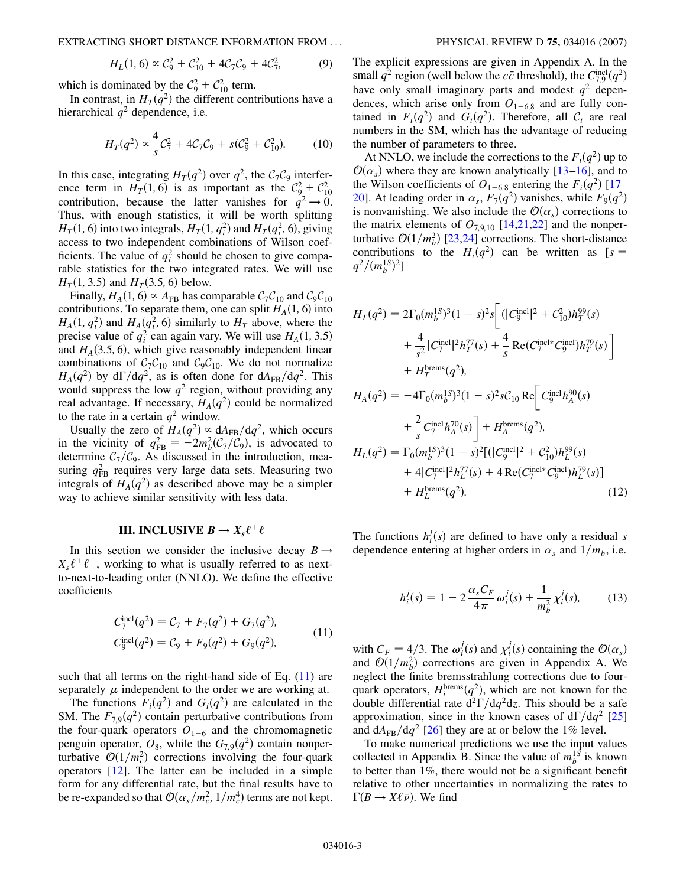EXTRACTING SHORT DISTANCE INFORMATION FROM ... PHYSICAL REVIEW D **75,** 034016 (2007)

$$
H_L(1,6) \propto \mathcal{C}_9^2 + \mathcal{C}_{10}^2 + 4\mathcal{C}_7\mathcal{C}_9 + 4\mathcal{C}_7^2,\tag{9}
$$

which is dominated by the  $C_9^2 + C_{10}^2$  term.

In contrast, in  $H_T(q^2)$  the different contributions have a hierarchical  $q^2$  dependence, i.e.

$$
H_T(q^2) \propto \frac{4}{s} C_7^2 + 4C_7 C_9 + s(C_9^2 + C_{10}^2). \tag{10}
$$

In this case, integrating  $H_T(q^2)$  over  $q^2$ , the  $C_7C_9$  interference term in  $H_T(1, 6)$  is as important as the  $C_9^2 + C_{10}^2$ contribution, because the latter vanishes for  $q^2 \rightarrow 0$ . Thus, with enough statistics, it will be worth splitting  $H_T(1, 6)$  into two integrals,  $H_T(1, q_i^2)$  and  $H_T(q_i^2, 6)$ , giving access to two independent combinations of Wilson coefficients. The value of  $q_i^2$  should be chosen to give comparable statistics for the two integrated rates. We will use *H<sub>T</sub>*(1, 3.5) and *H<sub>T</sub>*(3.5, 6) below.

Finally,  $H_A(1, 6) \propto A_{FB}$  has comparable  $C_7C_{10}$  and  $C_9C_{10}$ contributions. To separate them, one can split  $H_A(1, 6)$  into  $H_A(1, q_i^2)$  and  $H_A(q_i^2, 6)$  similarly to  $H_T$  above, where the precise value of  $q_i^2$  can again vary. We will use  $H_A(1, 3.5)$ and  $H_A(3.5, 6)$ , which give reasonably independent linear combinations of  $C_7C_{10}$  and  $C_9C_{10}$ . We do not normalize  $H_A(q^2)$  by  $d\Gamma/dq^2$ , as is often done for  $dA_{FB}/dq^2$ . This would suppress the low  $q^2$  region, without providing any real advantage. If necessary,  $H_A(q^2)$  could be normalized to the rate in a certain  $q^2$  window.

Usually the zero of  $H_A(q^2) \propto dA_{FB}/dq^2$ , which occurs in the vicinity of  $q_{FB}^2 = -2m_b^2(\mathcal{C}_7/\mathcal{C}_9)$ , is advocated to determine  $C_7/C_9$ . As discussed in the introduction, measuring  $q_{FB}^2$  requires very large data sets. Measuring two integrals of  $H_A(q^2)$  as described above may be a simpler way to achieve similar sensitivity with less data.

## **III. INCLUSIVE**  $B \to X_s \ell^+ \ell^-$

<span id="page-2-0"></span>In this section we consider the inclusive decay  $B \rightarrow$  $X_s \ell^+ \ell^-$ , working to what is usually referred to as nextto-next-to-leading order (NNLO). We define the effective coefficients

$$
C_7^{\text{incl}}(q^2) = C_7 + F_7(q^2) + G_7(q^2),
$$
  
\n
$$
C_9^{\text{incl}}(q^2) = C_9 + F_9(q^2) + G_9(q^2),
$$
\n(11)

such that all terms on the right-hand side of Eq.  $(11)$  $(11)$  $(11)$  are separately  $\mu$  independent to the order we are working at.

The functions  $F_i(q^2)$  and  $G_i(q^2)$  are calculated in the SM. The  $F_{7,9}(q^2)$  contain perturbative contributions from the four-quark operators  $O_{1-6}$  and the chromomagnetic penguin operator,  $O_8$ , while the  $G_{7,9}(q^2)$  contain nonperturbative  $O(1/m_c^2)$  corrections involving the four-quark operators [[12](#page-12-11)]. The latter can be included in a simple form for any differential rate, but the final results have to be re-expanded so that  $\mathcal{O}(\alpha_s/m_c^2, 1/m_c^4)$  terms are not kept. The explicit expressions are given in Appendix A. In the small  $q^2$  region (well below the  $c\bar{c}$  threshold), the  $C_{7,9}^{\text{incl}}(q^2)$ have only small imaginary parts and modest  $q^2$  dependences, which arise only from  $O_{1-6,8}$  and are fully contained in  $F_i(q^2)$  and  $G_i(q^2)$ . Therefore, all  $C_i$  are real numbers in the SM, which has the advantage of reducing the number of parameters to three.

At NNLO, we include the corrections to the  $F_i(q^2)$  up to  $O(\alpha_s)$  where they are known analytically [\[13](#page-12-12)–[16](#page-12-13)], and to the Wilson coefficients of  $O_{1-6,8}$  entering the  $F_i(q^2)$  [\[17–](#page-12-14) [20](#page-12-15)]. At leading order in  $\alpha_s$ ,  $F_7(q^2)$  vanishes, while  $F_9(q^2)$ is nonvanishing. We also include the  $\mathcal{O}(\alpha_s)$  corrections to the matrix elements of  $O_{7,9,10}$  [\[14](#page-12-16)[,21,](#page-12-17)[22\]](#page-12-18) and the nonperturbative  $O(1/m_b^2)$  [[23](#page-12-19),[24](#page-12-20)] corrections. The short-distance contributions to the  $H_i(q^2)$  can be written as [ $s =$  $q^2/(m_b^{1S})^2$ 

$$
H_T(q^2) = 2\Gamma_0(m_b^{1S})^3 (1-s)^2 s \left[ (|C_9^{\text{incl}}|^2 + C_{10}^2) h_T^{99}(s) + \frac{4}{s^2} |C_T^{\text{incl}}|^2 h_T^{77}(s) + \frac{4}{s} \text{Re}(C_T^{\text{incl}*} C_9^{\text{incl}}) h_T^{79}(s) \right] + H_T^{\text{brems}}(q^2),
$$

$$
H_A(q^2) = -4\Gamma_0(m_b^{1S})^3(1-s)^2 sC_{10} \text{ Re} \Bigg[ C_9^{\text{incl}} h_A^{90}(s) + \frac{2}{s} C_7^{\text{incl}} h_A^{70}(s) \Bigg] + H_A^{\text{brems}}(q^2), H_L(q^2) = \Gamma_0(m_b^{1S})^3(1-s)^2 [(|C_9^{\text{incl}}|^2 + C_{10}^2)h_L^{99}(s) + 4|C_7^{\text{incl}}|^2 h_L^{77}(s) + 4 \text{ Re}(C_7^{\text{incl}}{}^* C_9^{\text{incl}})h_L^{79}(s)] + H_L^{\text{brems}}(q^2).
$$
 (12)

<span id="page-2-1"></span>The functions  $h_i^j(s)$  are defined to have only a residual *s* dependence entering at higher orders in  $\alpha_s$  and  $1/m_b$ , i.e.

$$
h_i^j(s) = 1 - 2 \frac{\alpha_s C_F}{4\pi} \omega_i^j(s) + \frac{1}{m_b^2} \chi_i^j(s), \qquad (13)
$$

with  $C_F = 4/3$ . The  $\omega_i^j(s)$  and  $\chi_i^j(s)$  containing the  $\mathcal{O}(\alpha_s)$ and  $\mathcal{O}(1/m_b^2)$  corrections are given in Appendix A. We neglect the finite bremsstrahlung corrections due to fourquark operators,  $H_i^{\text{brems}}(q^2)$ , which are not known for the double differential rate  $d^2\Gamma/dq^2dz$ . This should be a safe approximation, since in the known cases of  $d\Gamma/dq^2$  [\[25\]](#page-12-21) and  $dA_{FB}/dq^2$  [\[26\]](#page-12-22) they are at or below the 1% level.

To make numerical predictions we use the input values collected in Appendix B. Since the value of  $m_b^{1S}$  is known to better than 1%, there would not be a significant benefit relative to other uncertainties in normalizing the rates to  $\Gamma(B \to X\ell\bar{\nu})$ . We find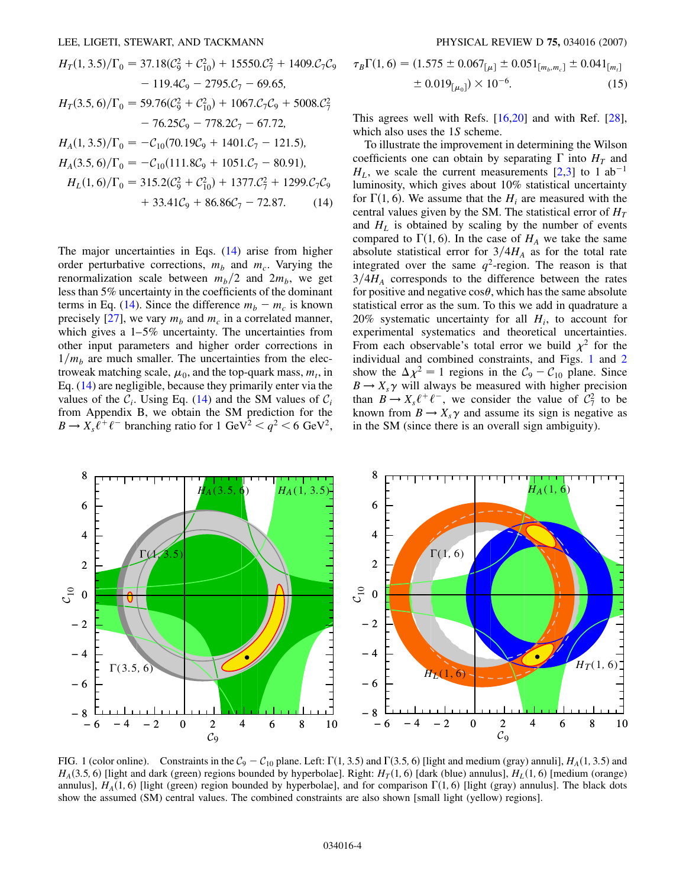<span id="page-3-0"></span>
$$
H_T(1, 3.5)/\Gamma_0 = 37.18(\mathcal{C}_9^2 + \mathcal{C}_{10}^2) + 15550.\mathcal{C}_7^2 + 1409.\mathcal{C}_7\mathcal{C}_9
$$
  
\n
$$
- 119.4\mathcal{C}_9 - 2795.\mathcal{C}_7 - 69.65,
$$
  
\n
$$
H_T(3.5, 6)/\Gamma_0 = 59.76(\mathcal{C}_9^2 + \mathcal{C}_{10}^2) + 1067.\mathcal{C}_7\mathcal{C}_9 + 5008.\mathcal{C}_7^2
$$
  
\n
$$
- 76.25\mathcal{C}_9 - 778.2\mathcal{C}_7 - 67.72,
$$
  
\n
$$
H_A(1, 3.5)/\Gamma_0 = -\mathcal{C}_{10}(70.19\mathcal{C}_9 + 1401.\mathcal{C}_7 - 121.5),
$$
  
\n
$$
H_A(3.5)/\Gamma_0 = -\mathcal{C}_{10}(70.19\mathcal{C}_9 + 1401.\mathcal{C}_7 - 121.5),
$$

$$
H_A(3.5, 6)/\Gamma_0 = -C_{10}(111.8C_9 + 1051.C_7 - 80.91),
$$
  
\n
$$
H_L(1, 6)/\Gamma_0 = 315.2(C_9^2 + C_{10}^2) + 1377.C_7^2 + 1299.C_7C_9
$$
  
\n
$$
+ 33.41C_9 + 86.86C_7 - 72.87.
$$
 (14)

The major uncertainties in Eqs. [\(14\)](#page-3-0) arise from higher order perturbative corrections,  $m_b$  and  $m_c$ . Varying the renormalization scale between  $m_b/2$  and  $2m_b$ , we get less than 5% uncertainty in the coefficients of the dominant terms in Eq. [\(14\)](#page-3-0). Since the difference  $m_b - m_c$  is known precisely [\[27\]](#page-12-23), we vary  $m_b$  and  $m_c$  in a correlated manner, which gives a  $1-5\%$  uncertainty. The uncertainties from other input parameters and higher order corrections in  $1/m<sub>b</sub>$  are much smaller. The uncertainties from the electroweak matching scale,  $\mu_0$ , and the top-quark mass,  $m_t$ , in Eq. ([14](#page-3-0)) are negligible, because they primarily enter via the values of the  $C_i$ . Using Eq. [\(14\)](#page-3-0) and the SM values of  $C_i$ from Appendix B, we obtain the SM prediction for the  $B \to X_s \tilde{\ell}^+ \ell^-$  branching ratio for 1 GeV<sup>2</sup>  $\lt q^2 \lt 6$  GeV<sup>2</sup>,

$$
\tau_B \Gamma(1, 6) = (1.575 \pm 0.067_{\lbrack \mu \rbrack} \pm 0.051_{\lbrack m_b, m_c \rbrack} \pm 0.041_{\lbrack m_t \rbrack}
$$

$$
\pm 0.019_{\lbrack \mu_0 \rbrack}) \times 10^{-6}. \tag{15}
$$

This agrees well with Refs. [\[16,](#page-12-13)[20\]](#page-12-15) and with Ref. [[28\]](#page-12-24), which also uses the 1*S* scheme.

To illustrate the improvement in determining the Wilson coefficients one can obtain by separating  $\Gamma$  into  $H_T$  and  $H<sub>L</sub>$ , we scale the current measurements [\[2,](#page-12-1)[3](#page-12-2)] to 1 ab<sup>-1</sup> luminosity, which gives about 10% statistical uncertainty for  $\Gamma(1, 6)$ . We assume that the  $H_i$  are measured with the central values given by the SM. The statistical error of  $H_T$ and  $H_L$  is obtained by scaling by the number of events compared to  $\Gamma(1, 6)$ . In the case of  $H_A$  we take the same absolute statistical error for  $3/4H_A$  as for the total rate integrated over the same  $q^2$ -region. The reason is that  $3/4H_A$  corresponds to the difference between the rates for positive and negative  $\cos\theta$ , which has the same absolute statistical error as the sum. To this we add in quadrature a 20% systematic uncertainty for all  $H_i$ , to account for experimental systematics and theoretical uncertainties. From each observable's total error we build  $\chi^2$  for the individual and combined constraints, and Figs. [1](#page-3-1) and [2](#page-4-0) show the  $\Delta \chi^2 = 1$  regions in the  $C_9 - C_{10}$  plane. Since  $B \to X_s \gamma$  will always be measured with higher precision than  $B \to X_s \ell^+ \ell^-$ , we consider the value of  $C_7^2$  to be known from  $B \to X_s \gamma$  and assume its sign is negative as in the SM (since there is an overall sign ambiguity).

<span id="page-3-1"></span>

FIG. 1 (color online). Constraints in the  $C_9 - C_{10}$  plane. Left:  $\Gamma(1, 3.5)$  and  $\Gamma(3.5, 6)$  [light and medium (gray) annuli],  $H_A(1, 3.5)$  and  $H_A(3.5, 6)$  [light and dark (green) regions bounded by hyperbolae]. Right:  $H_T(1, 6)$  [dark (blue) annulus],  $H_L(1, 6)$  [medium (orange) annulus],  $H_A(1, 6)$  [light (green) region bounded by hyperbolae], and for comparison  $\Gamma(1, 6)$  [light (gray) annulus]. The black dots show the assumed (SM) central values. The combined constraints are also shown [small light (yellow) regions].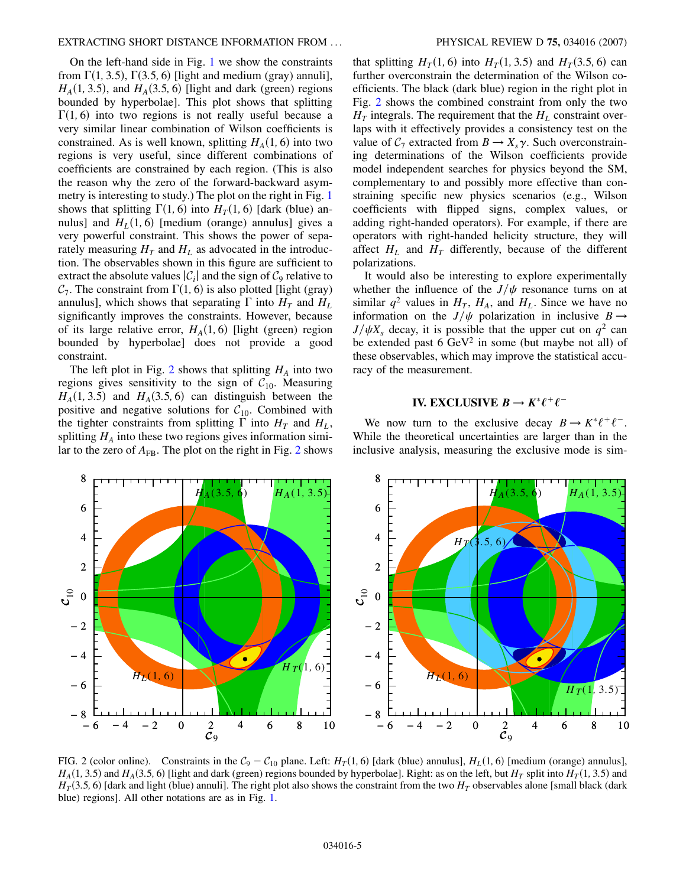On the left-hand side in Fig. [1](#page-3-1) we show the constraints from  $\Gamma(1, 3.5)$ ,  $\Gamma(3.5, 6)$  [light and medium (gray) annuli],  $H_A(1, 3.5)$ , and  $H_A(3.5, 6)$  [light and dark (green) regions bounded by hyperbolae]. This plot shows that splitting  $\Gamma(1, 6)$  into two regions is not really useful because a very similar linear combination of Wilson coefficients is constrained. As is well known, splitting  $H_A(1, 6)$  into two regions is very useful, since different combinations of coefficients are constrained by each region. (This is also the reason why the zero of the forward-backward asymmetry is interesting to study.) The plot on the right in Fig. [1](#page-3-1) shows that splitting  $\Gamma(1, 6)$  into  $H_T(1, 6)$  [dark (blue) annulus] and  $H_L(1, 6)$  [medium (orange) annulus] gives a very powerful constraint. This shows the power of separately measuring  $H_T$  and  $H_L$  as advocated in the introduction. The observables shown in this figure are sufficient to extract the absolute values  $|\mathcal{C}_i|$  and the sign of  $\mathcal{C}_9$  relative to  $C_7$ . The constraint from  $\Gamma(1, 6)$  is also plotted [light (gray) annulus], which shows that separating  $\Gamma$  into  $H_T$  and  $H_L$ significantly improves the constraints. However, because of its large relative error,  $H_A(1, 6)$  [light (green) region bounded by hyperbolae] does not provide a good constraint.

The left plot in Fig. [2](#page-4-0) shows that splitting  $H_A$  into two regions gives sensitivity to the sign of  $C_{10}$ . Measuring  $H_A(1, 3.5)$  and  $H_A(3.5, 6)$  can distinguish between the positive and negative solutions for  $C_{10}$ . Combined with the tighter constraints from splitting  $\Gamma$  into  $H_T$  and  $H_L$ , splitting  $H_A$  into these two regions gives information similar to the zero of  $A_{FB}$ . The plot on the right in Fig. [2](#page-4-0) shows that splitting  $H_T(1, 6)$  into  $H_T(1, 3.5)$  and  $H_T(3.5, 6)$  can further overconstrain the determination of the Wilson coefficients. The black (dark blue) region in the right plot in Fig. [2](#page-4-0) shows the combined constraint from only the two  $H_T$  integrals. The requirement that the  $H_L$  constraint overlaps with it effectively provides a consistency test on the value of  $C_7$  extracted from  $B \to X_s \gamma$ . Such overconstraining determinations of the Wilson coefficients provide model independent searches for physics beyond the SM, complementary to and possibly more effective than constraining specific new physics scenarios (e.g., Wilson coefficients with flipped signs, complex values, or adding right-handed operators). For example, if there are operators with right-handed helicity structure, they will affect  $H_L$  and  $H_T$  differently, because of the different polarizations.

It would also be interesting to explore experimentally whether the influence of the  $J/\psi$  resonance turns on at similar  $q^2$  values in  $H_T$ ,  $H_A$ , and  $H_L$ . Since we have no information on the  $J/\psi$  polarization in inclusive  $B \rightarrow$  $J/\psi X_s$  decay, it is possible that the upper cut on  $q^2$  can be extended past  $6 \text{ GeV}^2$  in some (but maybe not all) of these observables, which may improve the statistical accuracy of the measurement.

## **IV. EXCLUSIVE**  $B \to K^* \ell^+ \ell^-$

We now turn to the exclusive decay  $B \to K^* \ell^+ \ell^-$ . While the theoretical uncertainties are larger than in the inclusive analysis, measuring the exclusive mode is sim-

<span id="page-4-0"></span>

<span id="page-4-1"></span>FIG. 2 (color online). Constraints in the  $C_9 - C_{10}$  plane. Left:  $H_T(1, 6)$  [dark (blue) annulus],  $H_L(1, 6)$  [medium (orange) annulus],  $H_A(1, 3.5)$  and  $H_A(3.5, 6)$  [light and dark (green) regions bounded by hyperbolae]. Right: as on the left, but  $H_T$  split into  $H_T(1, 3.5)$  and  $H_T$ (3.5, 6) [dark and light (blue) annuli]. The right plot also shows the constraint from the two  $H_T$  observables alone [small black (dark blue) regions]. All other notations are as in Fig. [1](#page-3-1).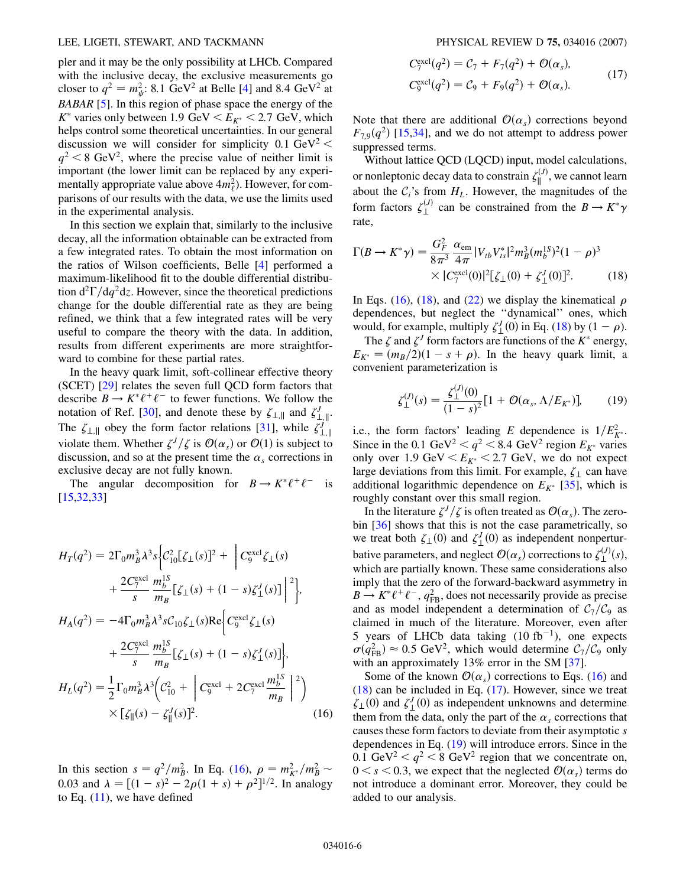#### LEE, LIGETI, STEWART, AND TACKMANN PHYSICAL REVIEW D **75,** 034016 (2007)

pler and it may be the only possibility at LHCb. Compared with the inclusive decay, the exclusive measurements go closer to  $q^2 = m_{\psi}^2$ : 8.1 GeV<sup>2</sup> at Belle [[4\]](#page-12-3) and 8.4 GeV<sup>2</sup> at *BABAR* [[5](#page-12-4)]. In this region of phase space the energy of the  $K^*$  varies only between 1.9 GeV  $\lt E_{K^*}$   $\lt$  2.7 GeV, which helps control some theoretical uncertainties. In our general discussion we will consider for simplicity  $0.1 \text{ GeV}^2$  <  $q^2$  < 8 GeV<sup>2</sup>, where the precise value of neither limit is important (the lower limit can be replaced by any experimentally appropriate value above  $4m_{\ell}^2$ ). However, for comparisons of our results with the data, we use the limits used in the experimental analysis.

In this section we explain that, similarly to the inclusive decay, all the information obtainable can be extracted from a few integrated rates. To obtain the most information on the ratios of Wilson coefficients, Belle [[4](#page-12-3)] performed a maximum-likelihood fit to the double differential distribution  $d^2\Gamma/dq^2dz$ . However, since the theoretical predictions change for the double differential rate as they are being refined, we think that a few integrated rates will be very useful to compare the theory with the data. In addition, results from different experiments are more straightforward to combine for these partial rates.

In the heavy quark limit, soft-collinear effective theory (SCET) [\[29\]](#page-12-25) relates the seven full QCD form factors that describe  $B \to K^* \ell^+ \ell^-$  to fewer functions. We follow the notation of Ref. [\[30\]](#page-12-26), and denote these by  $\zeta_{\perp,\parallel}$  and  $\zeta_{\perp,\parallel}^J$ . The  $\zeta_{\perp,\parallel}$  obey the form factor relations [[31](#page-12-27)], while  $\zeta_{\perp,\parallel}^{J}$ violate them. Whether  $\zeta^{J}/\zeta$  is  $\mathcal{O}(\alpha_s)$  or  $\mathcal{O}(1)$  is subject to discussion, and so at the present time the  $\alpha_s$  corrections in exclusive decay are not fully known.

<span id="page-5-0"></span>The angular decomposition for  $B \to K^* \ell^+ \ell^-$  is [\[15](#page-12-28)[,32,](#page-12-29)[33](#page-12-30)]

$$
H_T(q^2) = 2\Gamma_0 m_B^3 \lambda^3 s \Big\{ C_{10}^2 [\zeta_\perp(s)]^2 + \Big\{ C_9^{\text{excl}} \zeta_\perp(s) + \frac{2C_7^{\text{excl}}}{s} \frac{m_b^{1S}}{m_B} [\zeta_\perp(s) + (1 - s) \zeta_\perp^J(s)] \Big\|^2 \Big\},
$$
  
\n
$$
H_A(q^2) = -4\Gamma_0 m_B^3 \lambda^3 s C_{10} \zeta_\perp(s) \text{Re} \Big\{ C_9^{\text{excl}} \zeta_\perp(s) + \frac{2C_7^{\text{excl}}}{s} \frac{m_b^{1S}}{m_B} [\zeta_\perp(s) + (1 - s) \zeta_\perp^J(s)] \Big\},
$$
  
\n
$$
H_L(q^2) = \frac{1}{2} \Gamma_0 m_B^3 \lambda^3 \Big( C_{10}^2 + \Big\{ C_9^{\text{excl}} + 2C_7^{\text{excl}} \frac{m_b^{1S}}{m_B} \Big\}^2 \Big) \times [\zeta_{\parallel}(s) - \zeta_{\parallel}^J(s)]^2.
$$
 (16)

In this section  $s = q^2/m_B^2$ . In Eq. [\(16\)](#page-5-0),  $\rho = m_{K^*}^2/m_B^2$ 0.03 and  $\lambda = [(1-s)^2 - 2\rho(1+s) + \rho^2]^{1/2}$ . In analogy to Eq.  $(11)$  $(11)$  $(11)$ , we have defined

<span id="page-5-2"></span>
$$
C_7^{\text{excl}}(q^2) = C_7 + F_7(q^2) + \mathcal{O}(\alpha_s),
$$
  
\n
$$
C_9^{\text{excl}}(q^2) = C_9 + F_9(q^2) + \mathcal{O}(\alpha_s).
$$
\n(17)

Note that there are additional  $\mathcal{O}(\alpha_s)$  corrections beyond  $F_{7,9}(q^2)$  [\[15,](#page-12-28)[34\]](#page-12-31), and we do not attempt to address power suppressed terms.

Without lattice QCD (LQCD) input, model calculations, or nonleptonic decay data to constrain  $\zeta_{\parallel}^{(J)}$ , we cannot learn about the  $C_i$ 's from  $H_L$ . However, the magnitudes of the form factors  $\zeta_{\perp}^{(J)}$  can be constrained from the  $B \to K^* \gamma$ rate,

<span id="page-5-1"></span>
$$
\Gamma(B \to K^* \gamma) = \frac{G_F^2}{8\pi^3} \frac{\alpha_{\rm em}}{4\pi} |V_{tb} V_{ts}^*|^2 m_B^3 (m_b^{15})^2 (1 - \rho)^3
$$
  
×  $|C_7^{\rm excl}(0)|^2 [\zeta_{\perp}(0) + \zeta_{\perp}^J(0)]^2.$  (18)

In Eqs. [\(16\)](#page-5-0), ([18](#page-5-1)), and ([22](#page-6-0)) we display the kinematical  $\rho$ dependences, but neglect the ''dynamical'' ones, which would, for example, multiply  $\zeta_{\perp}^{J}(0)$  in Eq. [\(18\)](#page-5-1) by (1 –  $\rho$ ).

<span id="page-5-3"></span>The  $\zeta$  and  $\zeta^J$  form factors are functions of the  $K^*$  energy,  $E_{K^*} = (m_B/2)(1 - s + \rho)$ . In the heavy quark limit, a convenient parameterization is

$$
\zeta_{\perp}^{(J)}(s) = \frac{\zeta_{\perp}^{(J)}(0)}{(1-s)^2} [1 + \mathcal{O}(\alpha_s, \Lambda/E_{K^*})], \qquad (19)
$$

i.e., the form factors' leading *E* dependence is  $1/E_{K^*}^2$ . Since in the 0.1 GeV<sup>2</sup>  $q^2 < 8.4$  GeV<sup>2</sup> region  $E_{K^*}$  varies only over 1.9 GeV  $\lt E_{K^*}$   $\lt$  2.7 GeV, we do not expect large deviations from this limit. For example,  $\zeta_{\perp}$  can have additional logarithmic dependence on  $E_{K^*}$  [\[35\]](#page-12-32), which is roughly constant over this small region.

In the literature  $\zeta^{J}/\zeta$  is often treated as  $\mathcal{O}(\alpha_s)$ . The zerobin [\[36\]](#page-12-33) shows that this is not the case parametrically, so we treat both  $\zeta_1(0)$  and  $\zeta_2^J(0)$  as independent nonperturbative parameters, and neglect  $\mathcal{O}(\alpha_s)$  corrections to  $\zeta_{\perp}^{(J)}(s)$ , which are partially known. These same considerations also imply that the zero of the forward-backward asymmetry in  $B \to K^* \ell^+ \ell^-$ ,  $q_{FB}^2$ , does not necessarily provide as precise and as model independent a determination of  $C_7/C_9$  as claimed in much of the literature. Moreover, even after 5 years of LHCb data taking  $(10 \text{ fb}^{-1})$ , one expects  $\sigma(q_{\text{FB}}^2) \approx 0.5 \text{ GeV}^2$ , which would determine  $C_7/C_9$  only with an approximately 13% error in the SM [\[37\]](#page-12-34).

Some of the known  $\mathcal{O}(\alpha_s)$  corrections to Eqs. ([16](#page-5-0)) and [\(18\)](#page-5-1) can be included in Eq. [\(17\)](#page-5-2). However, since we treat  $\zeta_{\perp}(0)$  and  $\zeta_{\perp}^{J}(0)$  as independent unknowns and determine them from the data, only the part of the  $\alpha_s$  corrections that causes these form factors to deviate from their asymptotic *s* dependences in Eq. ([19](#page-5-3)) will introduce errors. Since in the 0.1 GeV<sup>2</sup>  $\lt q^2 \lt 8$  GeV<sup>2</sup> region that we concentrate on,  $0 \leq s \leq 0.3$ , we expect that the neglected  $\mathcal{O}(\alpha_s)$  terms do not introduce a dominant error. Moreover, they could be added to our analysis.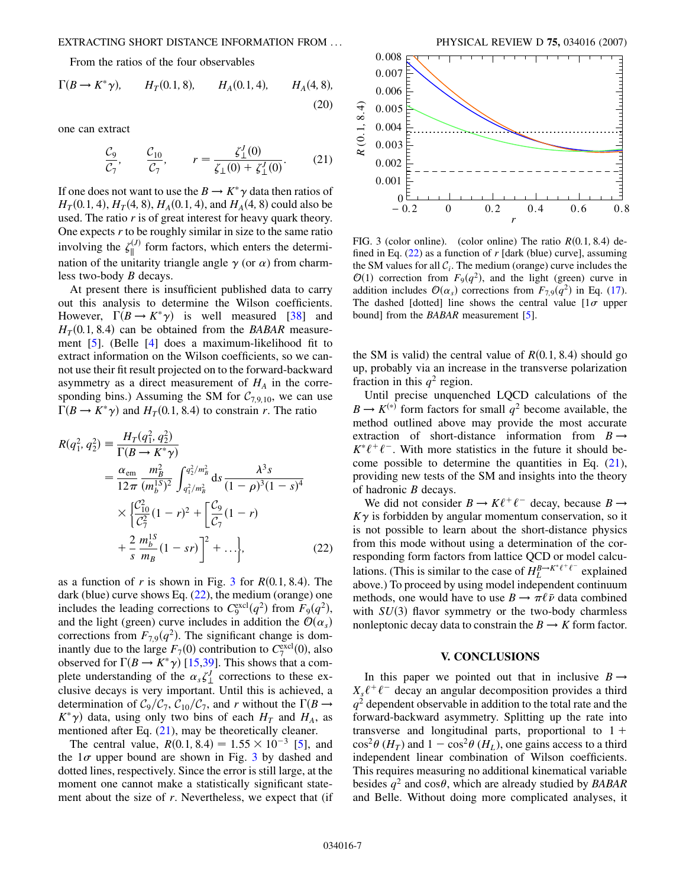<span id="page-6-3"></span>From the ratios of the four observables

$$
\Gamma(B \to K^* \gamma)
$$
,  $H_T(0.1, 8)$ ,  $H_A(0.1, 4)$ ,  $H_A(4, 8)$ , (20)

<span id="page-6-2"></span>one can extract

$$
\frac{\mathcal{C}_9}{\mathcal{C}_7}, \qquad \frac{\mathcal{C}_{10}}{\mathcal{C}_7}, \qquad r = \frac{\zeta_{\perp}^J(0)}{\zeta_{\perp}(0) + \zeta_{\perp}^J(0)}. \tag{21}
$$

If one does not want to use the  $B \to K^* \gamma$  data then ratios of  $H_T(0.1, 4)$ ,  $H_T(4, 8)$ ,  $H_A(0.1, 4)$ , and  $H_A(4, 8)$  could also be used. The ratio *r* is of great interest for heavy quark theory. One expects *r* to be roughly similar in size to the same ratio involving the  $\zeta_{\parallel}^{(J)}$  form factors, which enters the determination of the unitarity triangle angle  $\gamma$  (or  $\alpha$ ) from charmless two-body *B* decays.

At present there is insufficient published data to carry out this analysis to determine the Wilson coefficients. However,  $\Gamma(B \to K^* \gamma)$  is well measured [\[38\]](#page-12-35) and  $H_T(0.1, 8.4)$  can be obtained from the *BABAR* measurement [[5\]](#page-12-4). (Belle [[4\]](#page-12-3) does a maximum-likelihood fit to extract information on the Wilson coefficients, so we cannot use their fit result projected on to the forward-backward asymmetry as a direct measurement of  $H_A$  in the corresponding bins.) Assuming the SM for  $C_{7,9,10}$ , we can use  $\Gamma(B \to K^* \gamma)$  and  $H_T(0.1, 8.4)$  to constrain *r*. The ratio

<span id="page-6-0"></span>
$$
R(q_1^2, q_2^2) = \frac{H_T(q_1^2, q_2^2)}{\Gamma(B \to K^* \gamma)}
$$
  
=  $\frac{\alpha_{em}}{12\pi} \frac{m_B^2}{(m_b^{15})^2} \int_{q_1^2/m_B^2}^{q_2^2/m_B^2} ds \frac{\lambda^3 s}{(1 - \rho)^3 (1 - s)^4}$   

$$
\times \left\{ \frac{C_{10}^2}{C_7^2} (1 - r)^2 + \left[ \frac{C_9}{C_7} (1 - r) + \frac{2}{s} \frac{m_b^{15}}{m_B} (1 - s r) \right]^2 + \dots \right\},
$$
 (22)

as a function of *r* is shown in Fig. [3](#page-6-1) for  $R(0.1, 8.4)$ . The dark (blue) curve shows Eq.  $(22)$  $(22)$  $(22)$ , the medium (orange) one includes the leading corrections to  $C_9^{\text{excl}}(q^2)$  from  $F_9(q^2)$ , and the light (green) curve includes in addition the  $\mathcal{O}(\alpha_s)$ corrections from  $F_{7,9}(q^2)$ . The significant change is dominantly due to the large  $F_7(0)$  contribution to  $C_7^{\text{excl}}(0)$ , also observed for  $\Gamma(B \to K^* \gamma)$  [[15](#page-12-28),[39](#page-12-36)]. This shows that a complete understanding of the  $\alpha_s \zeta_{\perp}^J$  corrections to these exclusive decays is very important. Until this is achieved, a determination of  $C_9/C_7$ ,  $C_{10}/C_7$ , and *r* without the  $\Gamma(B \to$  $K^*$  $\gamma$ ) data, using only two bins of each  $H_T$  and  $H_A$ , as mentioned after Eq. [\(21\)](#page-6-2), may be theoretically cleaner.

The central value,  $R(0.1, 8.4) = 1.55 \times 10^{-3}$  $R(0.1, 8.4) = 1.55 \times 10^{-3}$  $R(0.1, 8.4) = 1.55 \times 10^{-3}$  [5], and the  $1\sigma$  upper bound are shown in Fig. [3](#page-6-1) by dashed and dotted lines, respectively. Since the error is still large, at the moment one cannot make a statistically significant statement about the size of *r*. Nevertheless, we expect that (if

<span id="page-6-1"></span>

FIG. 3 (color online). (color online) The ratio  $R(0.1, 8.4)$  defined in Eq. ([22](#page-6-0)) as a function of *r* [dark (blue) curve], assuming the SM values for all  $C_i$ . The medium (orange) curve includes the  $O(1)$  correction from  $F_9(q^2)$ , and the light (green) curve in addition includes  $\mathcal{O}(\alpha_s)$  corrections from  $F_{7,9}(q^2)$  in Eq. [\(17\)](#page-5-2). The dashed [dotted] line shows the central value  $[1\sigma]$  upper bound] from the *BABAR* measurement [\[5](#page-12-4)].

the SM is valid) the central value of  $R(0.1, 8.4)$  should go up, probably via an increase in the transverse polarization fraction in this  $q^2$  region.

Until precise unquenched LQCD calculations of the  $B \to K^{(*)}$  form factors for small  $q^2$  become available, the method outlined above may provide the most accurate extraction of short-distance information from  $B \rightarrow$  $K^* \ell^+ \ell^-$ . With more statistics in the future it should become possible to determine the quantities in Eq.  $(21)$ , providing new tests of the SM and insights into the theory of hadronic *B* decays.

We did not consider  $B \to K\ell^+\ell^-$  decay, because  $B \to$  $K\gamma$  is forbidden by angular momentum conservation, so it is not possible to learn about the short-distance physics from this mode without using a determination of the corresponding form factors from lattice QCD or model calculations. (This is similar to the case of  $H_L^{B\to K^*\ell^+\ell^-}$  explained above.) To proceed by using model independent continuum methods, one would have to use  $B \to \pi \ell \bar{\nu}$  data combined with  $SU(3)$  flavor symmetry or the two-body charmless nonleptonic decay data to constrain the  $B \to K$  form factor.

#### **V. CONCLUSIONS**

In this paper we pointed out that in inclusive  $B \rightarrow$  $X_s \ell^+ \ell^-$  decay an angular decomposition provides a third  $q<sup>2</sup>$  dependent observable in addition to the total rate and the forward-backward asymmetry. Splitting up the rate into transverse and longitudinal parts, proportional to  $1 +$  $\cos^2\theta$  (*H<sub>T</sub>*) and  $1 - \cos^2\theta$  (*H<sub>L</sub>*), one gains access to a third independent linear combination of Wilson coefficients. This requires measuring no additional kinematical variable besides  $q^2$  and  $\cos\theta$ , which are already studied by *BABAR* and Belle. Without doing more complicated analyses, it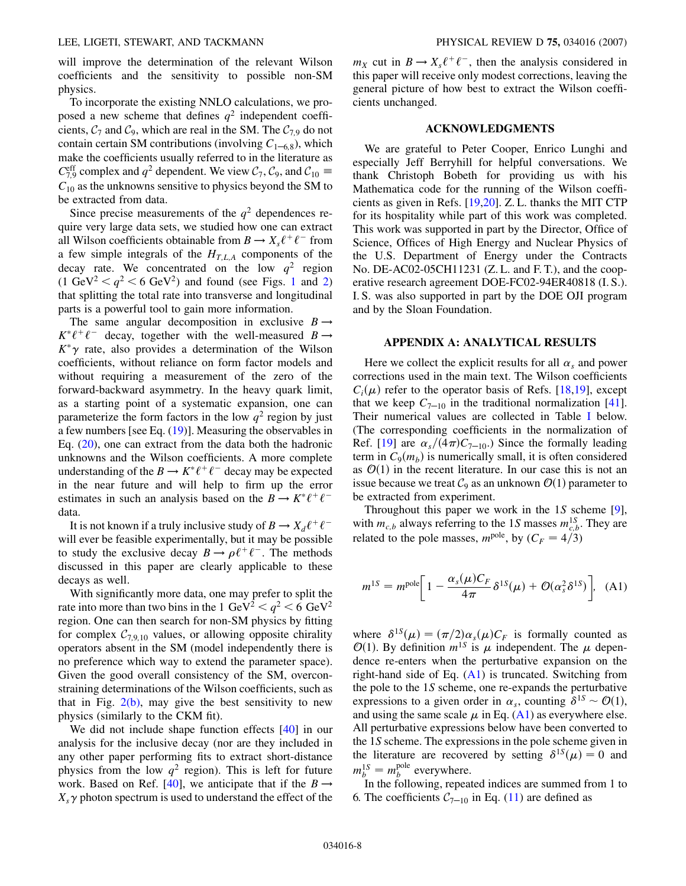will improve the determination of the relevant Wilson coefficients and the sensitivity to possible non-SM physics.

To incorporate the existing NNLO calculations, we proposed a new scheme that defines  $q^2$  independent coefficients,  $C_7$  and  $C_9$ , which are real in the SM. The  $C_{7,9}$  do not contain certain SM contributions (involving  $C_{1-6,8}$ ), which make the coefficients usually referred to in the literature as  $C_{7,9}^{\text{eff}}$  complex and  $q^2$  dependent. We view  $C_7$ ,  $C_9$ , and  $C_{10} \equiv$  $C_{10}$  as the unknowns sensitive to physics beyond the SM to be extracted from data.

Since precise measurements of the  $q^2$  dependences require very large data sets, we studied how one can extract all Wilson coefficients obtainable from  $B \to X_s \ell^+ \ell^-$  from a few simple integrals of the  $H_{T,L,A}$  components of the decay rate. We concentrated on the low  $q^2$  region  $(1 \text{ GeV}^2 < q^2 < 6 \text{ GeV}^2)$  $(1 \text{ GeV}^2 < q^2 < 6 \text{ GeV}^2)$  $(1 \text{ GeV}^2 < q^2 < 6 \text{ GeV}^2)$  $(1 \text{ GeV}^2 < q^2 < 6 \text{ GeV}^2)$  and found (see Figs. 1 and 2) that splitting the total rate into transverse and longitudinal parts is a powerful tool to gain more information.

The same angular decomposition in exclusive  $B \rightarrow$  $K^* \ell^+ \ell^-$  decay, together with the well-measured  $B \rightarrow$  $K^*\gamma$  rate, also provides a determination of the Wilson coefficients, without reliance on form factor models and without requiring a measurement of the zero of the forward-backward asymmetry. In the heavy quark limit, as a starting point of a systematic expansion, one can parameterize the form factors in the low  $q^2$  region by just a few numbers [see Eq. [\(19\)](#page-5-3)]. Measuring the observables in Eq. [\(20\)](#page-6-3), one can extract from the data both the hadronic unknowns and the Wilson coefficients. A more complete understanding of the  $B \to K^* \ell^+ \ell^-$  decay may be expected in the near future and will help to firm up the error estimates in such an analysis based on the  $B \to K^* \ell^+ \ell^$ data.

It is not known if a truly inclusive study of  $B \to X_d \ell^+ \ell^$ will ever be feasible experimentally, but it may be possible to study the exclusive decay  $B \to \rho \ell^+ \ell^-$ . The methods discussed in this paper are clearly applicable to these decays as well.

With significantly more data, one may prefer to split the rate into more than two bins in the 1  $\text{GeV}^2 < q^2 < 6 \text{ GeV}^2$ region. One can then search for non-SM physics by fitting for complex  $C_{7,9,10}$  values, or allowing opposite chirality operators absent in the SM (model independently there is no preference which way to extend the parameter space). Given the good overall consistency of the SM, overconstraining determinations of the Wilson coefficients, such as that in Fig.  $2(b)$ , may give the best sensitivity to new physics (similarly to the CKM fit).

We did not include shape function effects [[40](#page-12-37)] in our analysis for the inclusive decay (nor are they included in any other paper performing fits to extract short-distance physics from the low  $q^2$  region). This is left for future work. Based on Ref. [\[40](#page-12-37)], we anticipate that if the  $B \rightarrow$  $X_s \gamma$  photon spectrum is used to understand the effect of the

 $m_X$  cut in  $B \to X_s \ell^+ \ell^-$ , then the analysis considered in this paper will receive only modest corrections, leaving the general picture of how best to extract the Wilson coefficients unchanged.

## **ACKNOWLEDGMENTS**

We are grateful to Peter Cooper, Enrico Lunghi and especially Jeff Berryhill for helpful conversations. We thank Christoph Bobeth for providing us with his Mathematica code for the running of the Wilson coefficients as given in Refs. [\[19](#page-12-38)[,20\]](#page-12-15). Z. L. thanks the MIT CTP for its hospitality while part of this work was completed. This work was supported in part by the Director, Office of Science, Offices of High Energy and Nuclear Physics of the U.S. Department of Energy under the Contracts No. DE-AC02-05CH11231 (Z. L. and F. T.), and the cooperative research agreement DOE-FC02-94ER40818 (I. S.). I. S. was also supported in part by the DOE OJI program and by the Sloan Foundation.

#### **APPENDIX A: ANALYTICAL RESULTS**

Here we collect the explicit results for all  $\alpha_s$  and power corrections used in the main text. The Wilson coefficients  $C_i(\mu)$  refer to the operator basis of Refs. [[18,](#page-12-39)[19](#page-12-38)], except that we keep  $C_{7-10}$  in the traditional normalization [[41\]](#page-12-40). Their numerical values are collected in Table I below. (The corresponding coefficients in the normalization of Ref. [\[19\]](#page-12-38) are  $\alpha_s/(4\pi)C_{7-10}$ .) Since the formally leading term in  $C_9(m_b)$  is numerically small, it is often considered as  $\mathcal{O}(1)$  in the recent literature. In our case this is not an issue because we treat  $C_9$  as an unknown  $\mathcal{O}(1)$  parameter to be extracted from experiment.

<span id="page-7-0"></span>Throughout this paper we work in the 1*S* scheme [[9\]](#page-12-8), with  $m_{c,b}$  always referring to the 1*S* masses  $m_{c,b}^{1S}$ . They are related to the pole masses,  $m^{\text{pole}}$ , by ( $C_F = 4/3$ )

$$
m^{1S} = m^{\text{pole}} \bigg[ 1 - \frac{\alpha_s(\mu) C_F}{4\pi} \delta^{1S}(\mu) + \mathcal{O}(\alpha_s^2 \delta^{1S}) \bigg], \quad (A1)
$$

where  $\delta^{1S}(\mu) = (\pi/2) \alpha_s(\mu) C_F$  is formally counted as  $\mathcal{O}(1)$ . By definition  $m^{1s}$  is  $\mu$  independent. The  $\mu$  dependence re-enters when the perturbative expansion on the right-hand side of Eq.  $(A1)$  is truncated. Switching from the pole to the 1*S* scheme, one re-expands the perturbative expressions to a given order in  $\alpha_s$ , counting  $\delta^{1S} \sim \mathcal{O}(1)$ , and using the same scale  $\mu$  in Eq. ([A1](#page-7-0)) as everywhere else. All perturbative expressions below have been converted to the 1*S* scheme. The expressions in the pole scheme given in the literature are recovered by setting  $\delta^{1S}(\mu) = 0$  and  $m_b^{1S} = m_b^{\text{pole}}$  everywhere.

In the following, repeated indices are summed from 1 to 6. The coefficients  $C_{7-10}$  in Eq. [\(11\)](#page-2-0) are defined as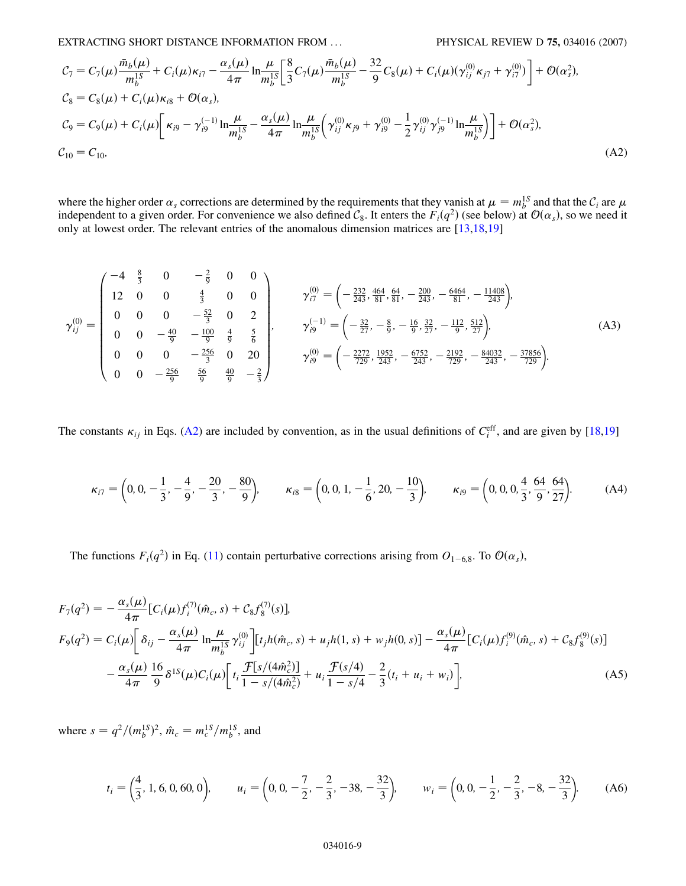EXTRACTING SHORT DISTANCE INFORMATION FROM ... PHYSICAL REVIEW D **75,** 034016 (2007)

<span id="page-8-0"></span>
$$
C_7 = C_7(\mu) \frac{\bar{m}_b(\mu)}{m_b^{1S}} + C_i(\mu)\kappa_{i7} - \frac{\alpha_s(\mu)}{4\pi} \ln \frac{\mu}{m_b^{1S}} \left[ \frac{8}{3} C_7(\mu) \frac{\bar{m}_b(\mu)}{m_b^{1S}} - \frac{32}{9} C_8(\mu) + C_i(\mu) (\gamma_{ij}^{(0)} \kappa_{j7} + \gamma_{i7}^{(0)}) \right] + \mathcal{O}(\alpha_s^2),
$$
  
\n
$$
C_8 = C_8(\mu) + C_i(\mu) \kappa_{i8} + \mathcal{O}(\alpha_s),
$$
  
\n
$$
\mathcal{C}_9 = C_9(\mu) + C_i(\mu) \left[ \kappa_{i9} - \gamma_{i9}^{(-1)} \ln \frac{\mu}{m_b^{1S}} - \frac{\alpha_s(\mu)}{4\pi} \ln \frac{\mu}{m_b^{1S}} \left( \gamma_{ij}^{(0)} \kappa_{j9} + \gamma_{i9}^{(0)} - \frac{1}{2} \gamma_{ij}^{(0)} \gamma_{j9}^{(-1)} \ln \frac{\mu}{m_b^{1S}} \right) \right] + \mathcal{O}(\alpha_s^2),
$$
  
\n
$$
\mathcal{C}_{10} = C_{10},
$$
  
\n
$$
(A2)
$$

where the higher order  $\alpha_s$  corrections are determined by the requirements that they vanish at  $\mu = m_b^{1S}$  and that the  $C_i$  are  $\mu$ independent to a given order. For convenience we also defined  $C_8$ . It enters the  $F_i(q^2)$  (see below) at  $\mathcal{O}(\alpha_s)$ , so we need it only at lowest order. The relevant entries of the anomalous dimension matrices are [\[13,](#page-12-12)[18,](#page-12-39)[19\]](#page-12-38)

$$
\gamma_{ij}^{(0)} = \begin{pmatrix}\n-4 & \frac{8}{3} & 0 & -\frac{2}{9} & 0 & 0 \\
12 & 0 & 0 & \frac{4}{3} & 0 & 0 \\
0 & 0 & 0 & -\frac{52}{3} & 0 & 2 \\
0 & 0 & -\frac{40}{9} & -\frac{100}{9} & \frac{4}{9} & \frac{5}{6} \\
0 & 0 & 0 & -\frac{256}{3} & 0 & 20 \\
0 & 0 & -\frac{256}{9} & \frac{56}{9} & \frac{40}{9} & -\frac{2}{3}\n\end{pmatrix}, \qquad\n\gamma_{i9}^{(0)} = \left(-\frac{232}{27}, \frac{464}{81}, \frac{64}{81}, -\frac{200}{243}, -\frac{6464}{81}, -\frac{11408}{243}\right),\n\gamma_{i9}^{(-1)} = \left(-\frac{32}{27}, -\frac{8}{9}, -\frac{16}{9}, \frac{32}{27}, -\frac{112}{9}, \frac{512}{27}\right),\n\tag{A3}
$$

The constants  $\kappa_{ij}$  in Eqs. ([A2](#page-8-0)) are included by convention, as in the usual definitions of  $C_i^{\text{eff}}$ , and are given by [[18](#page-12-39),[19](#page-12-38)]

$$
\kappa_{i7} = \left(0, 0, -\frac{1}{3}, -\frac{4}{9}, -\frac{20}{3}, -\frac{80}{9}\right), \qquad \kappa_{i8} = \left(0, 0, 1, -\frac{1}{6}, 20, -\frac{10}{3}\right), \qquad \kappa_{i9} = \left(0, 0, 0, \frac{4}{3}, \frac{64}{9}, \frac{64}{27}\right).
$$
 (A4)

<span id="page-8-1"></span>The functions  $F_i(q^2)$  in Eq. [\(11\)](#page-2-0) contain perturbative corrections arising from  $O_{1-6,8}$ . To  $\mathcal{O}(\alpha_s)$ ,

$$
F_7(q^2) = -\frac{\alpha_s(\mu)}{4\pi} [C_i(\mu) f_i^{(7)}(\hat{m}_c, s) + C_8 f_8^{(7)}(s)],
$$
  
\n
$$
F_9(q^2) = C_i(\mu) \bigg[ \delta_{ij} - \frac{\alpha_s(\mu)}{4\pi} \ln \frac{\mu}{m_b^{15}} \gamma_{ij}^{(0)} \bigg] [t_j h(\hat{m}_c, s) + u_j h(1, s) + w_j h(0, s)] - \frac{\alpha_s(\mu)}{4\pi} [C_i(\mu) f_i^{(9)}(\hat{m}_c, s) + C_8 f_8^{(9)}(s)]
$$
  
\n
$$
- \frac{\alpha_s(\mu)}{4\pi} \frac{16}{9} \delta^{15}(\mu) C_i(\mu) \bigg[ t_i \frac{\mathcal{F}[s/(4\hat{m}_c^2)]}{1 - s/(4\hat{m}_c^2)} + u_i \frac{\mathcal{F}(s/4)}{1 - s/4} - \frac{2}{3} (t_i + u_i + w_i) \bigg],
$$
\n(A5)

where  $s = q^2/(m_b^{1S})^2$ ,  $\hat{m}_c = m_c^{1S}/m_b^{1S}$ , and

$$
t_i = \left(\frac{4}{3}, 1, 6, 0, 60, 0\right), \qquad u_i = \left(0, 0, -\frac{7}{2}, -\frac{2}{3}, -38, -\frac{32}{3}\right), \qquad w_i = \left(0, 0, -\frac{1}{2}, -\frac{2}{3}, -8, -\frac{32}{3}\right).
$$
 (A6)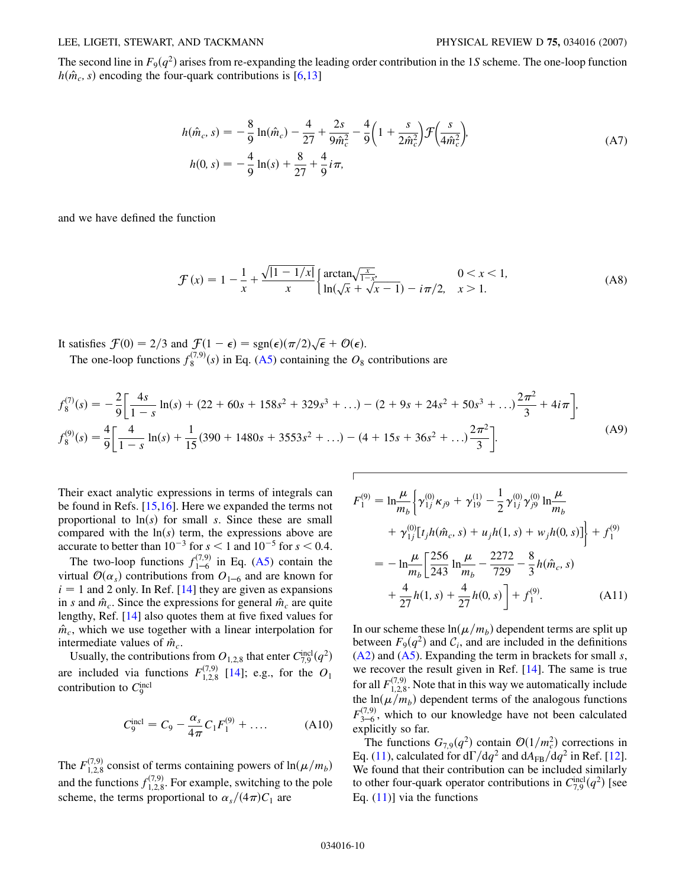The second line in  $F_9(q^2)$  arises from re-expanding the leading order contribution in the 1*S* scheme. The one-loop function  $h(\hat{m}_c, s)$  encoding the four-quark contributions is [\[6](#page-12-5)[,13\]](#page-12-12)

$$
h(\hat{m}_c, s) = -\frac{8}{9} \ln(\hat{m}_c) - \frac{4}{27} + \frac{2s}{9\hat{m}_c^2} - \frac{4}{9} \left( 1 + \frac{s}{2\hat{m}_c^2} \right) \mathcal{F} \left( \frac{s}{4\hat{m}_c^2} \right),
$$
  
\n
$$
h(0, s) = -\frac{4}{9} \ln(s) + \frac{8}{27} + \frac{4}{9} i \pi,
$$
\n(A7)

and we have defined the function

$$
\mathcal{F}(x) = 1 - \frac{1}{x} + \frac{\sqrt{|1 - 1/x|}}{x} \begin{cases} \arctan\sqrt{\frac{x}{1 - x^2}} & 0 < x < 1, \\ \ln(\sqrt{x} + \sqrt{x - 1}) - i\pi/2, & x > 1. \end{cases} \tag{A8}
$$

It satisfies  $\mathcal{F}(0) = 2/3$  and  $\mathcal{F}(1 - \epsilon) = \text{sgn}(\epsilon)(\pi/2)\sqrt{\epsilon} + \mathcal{O}(\epsilon)$ . The one-loop functions  $f_8^{(7,9)}(s)$  in Eq. ([A5\)](#page-8-1) containing the  $O_8$  contributions are

$$
f_8^{(7)}(s) = -\frac{2}{9} \left[ \frac{4s}{1-s} \ln(s) + (22+60s+158s^2+329s^3+\ldots) - (2+9s+24s^2+50s^3+\ldots)\frac{2\pi^2}{3} + 4i\pi \right],
$$
  
\n
$$
f_8^{(9)}(s) = \frac{4}{9} \left[ \frac{4}{1-s} \ln(s) + \frac{1}{15} (390+1480s+3553s^2+\ldots) - (4+15s+36s^2+\ldots)\frac{2\pi^2}{3} \right].
$$
 (A9)

 $\overline{1}$ 

Their exact analytic expressions in terms of integrals can be found in Refs. [\[15](#page-12-28)[,16\]](#page-12-13). Here we expanded the terms not proportional to  $\ln(s)$  for small *s*. Since these are small compared with the  $ln(s)$  term, the expressions above are accurate to better than  $10^{-3}$  for  $s < 1$  and  $10^{-5}$  for  $s < 0.4$ .

The two-loop functions  $f_{1-6}^{(7,9)}$  in Eq. [\(A5\)](#page-8-1) contain the virtual  $\mathcal{O}(\alpha_s)$  contributions from  $O_{1-6}$  and are known for  $i = 1$  and 2 only. In Ref.  $[14]$  they are given as expansions in *s* and  $\hat{m}_c$ . Since the expressions for general  $\hat{m}_c$  are quite lengthy, Ref. [\[14\]](#page-12-16) also quotes them at five fixed values for  $\hat{m}_c$ , which we use together with a linear interpolation for intermediate values of  $\hat{m}_c$ .

Usually, the contributions from  $O_{1,2,8}$  that enter  $C_{7,9}^{\text{incl}}(q^2)$ are included via functions  $F_{1,2,8}^{(7,9)}$  [\[14\]](#page-12-16); e.g., for the  $O_1$ contribution to  $C_9^{\text{incl}}$ 

$$
C_9^{\text{incl}} = C_9 - \frac{\alpha_s}{4\pi} C_1 F_1^{(9)} + \dots
$$
 (A10)

The  $F_{1,2,8}^{(7,9)}$  consist of terms containing powers of  $\ln(\mu/m_b)$ and the functions  $f_{1,2,8}^{(7,9)}$ . For example, switching to the pole scheme, the terms proportional to  $\alpha_s/(4\pi)C_1$  are

$$
F_1^{(9)} = \ln \frac{\mu}{m_b} \Biggl\{ \gamma_{1j}^{(0)} \kappa_{j9} + \gamma_{19}^{(1)} - \frac{1}{2} \gamma_{1j}^{(0)} \gamma_{j9}^{(0)} \ln \frac{\mu}{m_b} + \gamma_{1j}^{(0)} [t_j h(\hat{m}_c, s) + u_j h(1, s) + w_j h(0, s)] \Biggr\} + f_1^{(9)} = - \ln \frac{\mu}{m_b} \Biggl[ \frac{256}{243} \ln \frac{\mu}{m_b} - \frac{2272}{729} - \frac{8}{3} h(\hat{m}_c, s) + \frac{4}{27} h(1, s) + \frac{4}{27} h(0, s) \Biggr] + f_1^{(9)}.
$$
 (A11)

In our scheme these  $ln(\mu/m_b)$  dependent terms are split up between  $F_9(q^2)$  and  $C_i$ , and are included in the definitions [\(A2](#page-8-0)) and [\(A5](#page-8-1)). Expanding the term in brackets for small *s*, we recover the result given in Ref. [\[14\]](#page-12-16). The same is true for all  $F_{1,2,8}^{(7,9)}$ . Note that in this way we automatically include the  $ln(\mu/m_b)$  dependent terms of the analogous functions  $F_{3-6}^{(7,9)}$ , which to our knowledge have not been calculated explicitly so far.

The functions  $G_{7,9}(q^2)$  contain  $\mathcal{O}(1/m_c^2)$  corrections in Eq. [\(11](#page-2-0)), calculated for  $d\Gamma/dq^2$  and  $dA_{FB}/dq^2$  in Ref. [[12\]](#page-12-11). We found that their contribution can be included similarly to other four-quark operator contributions in  $C_{7,9}^{\text{incl}}(q^2)$  [see Eq.  $(11)$  $(11)$  $(11)$ ] via the functions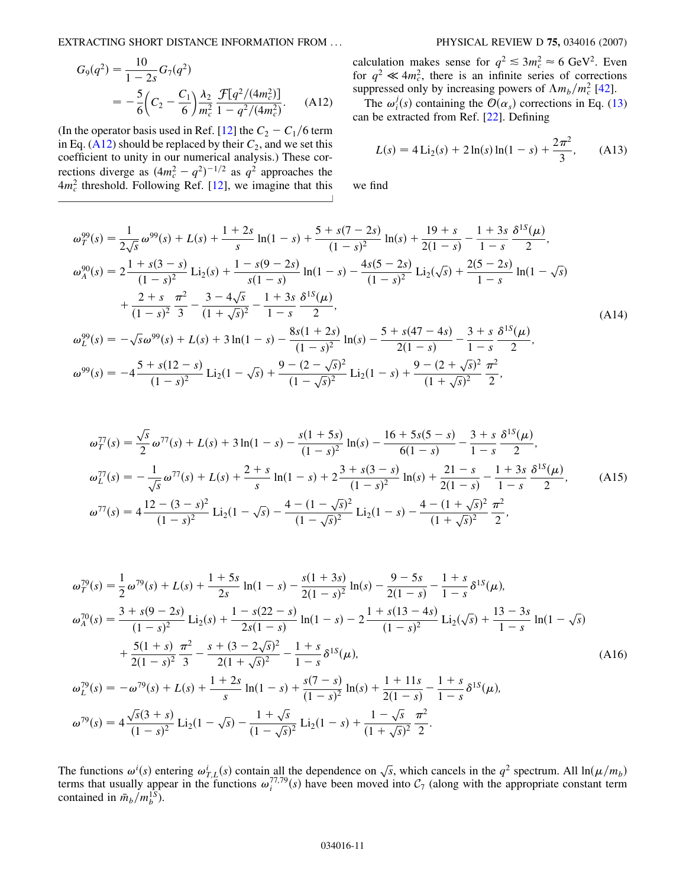EXTRACTING SHORT DISTANCE INFORMATION FROM ... PHYSICAL REVIEW D **75,** 034016 (2007)

$$
G_9(q^2) = \frac{10}{1 - 2s} G_7(q^2)
$$
  
= 
$$
-\frac{5}{6} \left( C_2 - \frac{C_1}{6} \right) \frac{\lambda_2}{m_c^2} \frac{\mathcal{F}[q^2/(4m_c^2)]}{1 - q^2/(4m_c^2)}.
$$
 (A12)

<span id="page-10-0"></span>(In the operator basis used in Ref. [[12](#page-12-11)] the  $C_2 - C_1/6$  term in Eq.  $(A12)$  $(A12)$  should be replaced by their  $C_2$ , and we set this coefficient to unity in our numerical analysis.) These corrections diverge as  $(4m_c^2 - q^2)^{-1/2}$  as  $q^2$  approaches the  $4m_c^2$  threshold. Following Ref. [\[12\]](#page-12-11), we imagine that this

calculation makes sense for  $q^2 \leq 3m_c^2 \approx 6 \text{ GeV}^2$ . Even for  $q^2 \ll 4m_c^2$ , there is an infinite series of corrections suppressed only by increasing powers of  $\Lambda m_b/m_c^2$  [\[42\]](#page-12-41).

The  $\omega_i^j(s)$  containing the  $\mathcal{O}(\alpha_s)$  corrections in Eq. [\(13\)](#page-2-1) can be extracted from Ref. [[22](#page-12-18)]. Defining

$$
L(s) = 4 \operatorname{Li}_2(s) + 2 \ln(s) \ln(1 - s) + \frac{2\pi^2}{3}, \quad (A13)
$$

we find

$$
\omega_{T}^{99}(s) = \frac{1}{2\sqrt{s}}\omega^{99}(s) + L(s) + \frac{1+2s}{s}\ln(1-s) + \frac{5+s(7-2s)}{(1-s)^2}\ln(s) + \frac{19+s}{2(1-s)} - \frac{1+3s}{1-s}\frac{\delta^{15}(\mu)}{2},
$$
  
\n
$$
\omega_{A}^{90}(s) = 2\frac{1+s(3-s)}{(1-s)^2}\ln(1-s) + \frac{1-s(9-2s)}{s(1-s)}\ln(1-s) - \frac{4s(5-2s)}{(1-s)^2}\ln(1-s) + \frac{2(5-2s)}{1-s}\frac{\pi^2}{1-(1+s)^2}\frac{3-4\sqrt{s}}{3} - \frac{1+3s}{1-s}\frac{\delta^{15}(\mu)}{2},
$$
  
\n
$$
\omega_{L}^{99}(s) = -\sqrt{s}\omega^{99}(s) + L(s) + 3\ln(1-s) - \frac{8s(1+2s)}{(1-s)^2}\ln(s) - \frac{5+s(47-4s)}{2(1-s)} - \frac{3+s}{1-s}\frac{\delta^{15}(\mu)}{2},
$$
  
\n
$$
\omega_{J}^{99}(s) = -4\frac{5+s(12-s)}{(1-s)^2}\ln(1-\sqrt{s}) + \frac{9-(2-\sqrt{s})^2}{(1-\sqrt{s})^2}\ln(1-s) + \frac{9-(2+\sqrt{s})^2}{(1+\sqrt{s})^2}\frac{\pi^2}{2},
$$
  
\n(A14)

$$
\omega_T^{77}(s) = \frac{\sqrt{s}}{2} \omega^{77}(s) + L(s) + 3\ln(1-s) - \frac{s(1+5s)}{(1-s)^2} \ln(s) - \frac{16+5s(5-s)}{6(1-s)} - \frac{3+s}{1-s} \frac{\delta^{15}(\mu)}{2},
$$
  
\n
$$
\omega_L^{77}(s) = -\frac{1}{\sqrt{s}} \omega^{77}(s) + L(s) + \frac{2+s}{s} \ln(1-s) + 2\frac{3+s(3-s)}{(1-s)^2} \ln(s) + \frac{21-s}{2(1-s)} - \frac{1+3s}{1-s} \frac{\delta^{15}(\mu)}{2},
$$
  
\n
$$
\omega^{77}(s) = 4\frac{12-(3-s)^2}{(1-s)^2} \text{Li}_2(1-\sqrt{s}) - \frac{4-(1-\sqrt{s})^2}{(1-\sqrt{s})^2} \text{Li}_2(1-s) - \frac{4-(1+\sqrt{s})^2}{(1+\sqrt{s})^2} \frac{\pi^2}{2},
$$
\n(A15)

$$
\omega_{I}^{79}(s) = \frac{1}{2}\omega^{79}(s) + L(s) + \frac{1+5s}{2s}\ln(1-s) - \frac{s(1+3s)}{2(1-s)}\ln(s) - \frac{9-5s}{2(1-s)} - \frac{1+s}{1-s}\delta^{15}(\mu),
$$
  
\n
$$
\omega_{A}^{70}(s) = \frac{3+s(9-2s)}{(1-s)^2}\text{Li}_2(s) + \frac{1-s(22-s)}{2s(1-s)}\ln(1-s) - 2\frac{1+s(13-4s)}{(1-s)^2}\text{Li}_2(\sqrt{s}) + \frac{13-3s}{1-s}\ln(1-\sqrt{s})
$$
  
\n
$$
+ \frac{5(1+s)}{2(1-s)^2}\frac{\pi^2}{3} - \frac{s+(3-2\sqrt{s})^2}{2(1+\sqrt{s})^2} - \frac{1+s}{1-s}\delta^{15}(\mu),
$$
  
\n
$$
\omega_{L}^{79}(s) = -\omega^{79}(s) + L(s) + \frac{1+2s}{s}\ln(1-s) + \frac{s(7-s)}{(1-s)^2}\ln(s) + \frac{1+11s}{2(1-s)} - \frac{1+s}{1-s}\delta^{15}(\mu),
$$
  
\n
$$
\omega_{I}^{79}(s) = 4\frac{\sqrt{s}(3+s)}{(1-s)^2}\text{Li}_2(1-\sqrt{s}) - \frac{1+\sqrt{s}}{(1-\sqrt{s})^2}\text{Li}_2(1-s) + \frac{1-\sqrt{s}}{(1+\sqrt{s})^2}\frac{\pi^2}{2}.
$$
 (A16)

The functions  $\omega^i(s)$  entering  $\omega^i_{T,L}(s)$  contain all the dependence on  $\sqrt{s}$ , which cancels in the  $q^2$  spectrum. All  $\ln(\mu/m_b)$ terms that usually appear in the functions  $\omega_i^{77,79}(s)$  have been moved into  $C_7$  (along with the appropriate constant term contained in  $\bar{m}_b/m_b^{1S}$ ).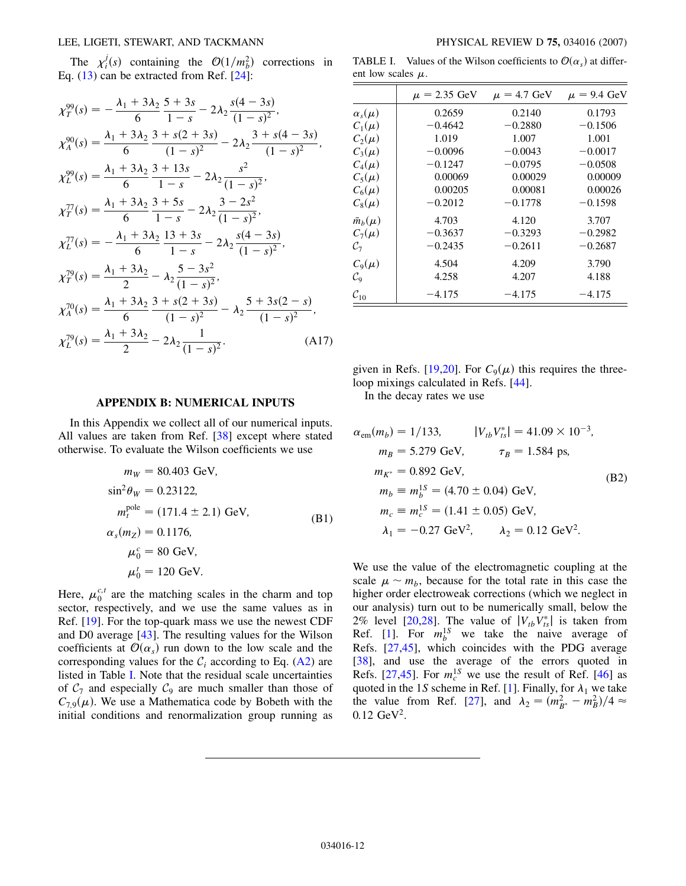The  $\chi_i^j(s)$  containing the  $\mathcal{O}(1/m_b^2)$  corrections in Eq.  $(13)$  $(13)$  $(13)$  can be extracted from Ref.  $[24]$ :

$$
\chi_{T}^{99}(s) = -\frac{\lambda_{1} + 3\lambda_{2}}{6} \frac{5 + 3s}{1 - s} - 2\lambda_{2} \frac{s(4 - 3s)}{(1 - s)^{2}},
$$
  
\n
$$
\chi_{A}^{90}(s) = \frac{\lambda_{1} + 3\lambda_{2}}{6} \frac{3 + s(2 + 3s)}{(1 - s)^{2}} - 2\lambda_{2} \frac{3 + s(4 - 3s)}{(1 - s)^{2}},
$$
  
\n
$$
\chi_{L}^{99}(s) = \frac{\lambda_{1} + 3\lambda_{2}}{6} \frac{3 + 13s}{1 - s} - 2\lambda_{2} \frac{s^{2}}{(1 - s)^{2}},
$$
  
\n
$$
\chi_{T}^{77}(s) = \frac{\lambda_{1} + 3\lambda_{2}}{6} \frac{3 + 5s}{1 - s} - 2\lambda_{2} \frac{3 - 2s^{2}}{(1 - s)^{2}},
$$
  
\n
$$
\chi_{L}^{77}(s) = -\frac{\lambda_{1} + 3\lambda_{2}}{6} \frac{13 + 3s}{1 - s} - 2\lambda_{2} \frac{s(4 - 3s)}{(1 - s)^{2}},
$$
  
\n
$$
\chi_{T}^{79}(s) = \frac{\lambda_{1} + 3\lambda_{2}}{2} - \lambda_{2} \frac{5 - 3s^{2}}{(1 - s)^{2}},
$$
  
\n
$$
\chi_{A}^{70}(s) = \frac{\lambda_{1} + 3\lambda_{2}}{6} \frac{3 + s(2 + 3s)}{(1 - s)^{2}} - \lambda_{2} \frac{5 + 3s(2 - s)}{(1 - s)^{2}},
$$
  
\n
$$
\chi_{L}^{79}(s) = \frac{\lambda_{1} + 3\lambda_{2}}{2} - 2\lambda_{2} \frac{1}{(1 - s)^{2}}.
$$
  
\n(A17)

TABLE I. Values of the Wilson coefficients to  $\mathcal{O}(\alpha_s)$  at different low scales  $\mu$ .

|                    | $\mu = 2.35 \text{ GeV}$ | $\mu = 4.7$ GeV | $\mu = 9.4$ GeV |
|--------------------|--------------------------|-----------------|-----------------|
| $\alpha_s(\mu)$    | 0.2659                   | 0.2140          | 0.1793          |
| $C_1(\mu)$         | $-0.4642$                | $-0.2880$       | $-0.1506$       |
| $C_2(\mu)$         | 1.019                    | 1.007           | 1.001           |
| $C_3(\mu)$         | $-0.0096$                | $-0.0043$       | $-0.0017$       |
| $C_4(\mu)$         | $-0.1247$                | $-0.0795$       | $-0.0508$       |
| $C_5(\mu)$         | 0.00069                  | 0.00029         | 0.00009         |
| $C_6(\mu)$         | 0.00205                  | 0.00081         | 0.00026         |
| $C_8(\mu)$         | $-0.2012$                | $-0.1778$       | $-0.1598$       |
| $\bar{m}_b(\mu)$   | 4.703                    | 4.120           | 3.707           |
| $C_7(\mu)$         | $-0.3637$                | $-0.3293$       | $-0.2982$       |
| $\mathcal{C}_{7}$  | $-0.2435$                | $-0.2611$       | $-0.2687$       |
| $C_9(\mu)$         | 4.504                    | 4.209           | 3.790           |
| $\mathcal{C}_9$    | 4.258                    | 4.207           | 4.188           |
| $\mathcal{C}_{10}$ | $-4.175$                 | $-4.175$        | $-4.175$        |

given in Refs. [\[19,](#page-12-38)[20\]](#page-12-15). For  $C_9(\mu)$  this requires the threeloop mixings calculated in Refs. [[44](#page-12-43)].

In the decay rates we use

$$
\alpha_{em}(m_b) = 1/133, \qquad |V_{tb}V_{ts}^*| = 41.09 \times 10^{-3},
$$
  
\n
$$
m_B = 5.279 \text{ GeV}, \qquad \tau_B = 1.584 \text{ ps},
$$
  
\n
$$
m_{K^*} = 0.892 \text{ GeV},
$$
  
\n
$$
m_b \equiv m_b^{1S} = (4.70 \pm 0.04) \text{ GeV},
$$
  
\n
$$
m_c \equiv m_c^{1S} = (1.41 \pm 0.05) \text{ GeV},
$$
  
\n
$$
\lambda_1 = -0.27 \text{ GeV}^2, \qquad \lambda_2 = 0.12 \text{ GeV}^2.
$$

We use the value of the electromagnetic coupling at the scale  $\mu \sim m_b$ , because for the total rate in this case the higher order electroweak corrections (which we neglect in our analysis) turn out to be numerically small, below the 2% level [\[20](#page-12-15)[,28\]](#page-12-24). The value of  $|V_{tb}V_{ts}^*|$  is taken from Ref. [[1\]](#page-12-0). For  $m_b^{1S}$  we take the naive average of Refs. [[27](#page-12-23)[,45](#page-12-44)], which coincides with the PDG average [\[38\]](#page-12-35), and use the average of the errors quoted in Refs.  $[27,45]$  $[27,45]$ . For  $m_c^{1S}$  we use the result of Ref.  $[46]$  as quoted in the [1](#page-12-0)*S* scheme in Ref. [1]. Finally, for  $\lambda_1$  we take the value from Ref. [\[27](#page-12-23)], and  $\lambda_2 = (m_{B^*}^2 - m_B^2)/4 \approx$ 0*:*12 GeV2.

#### **APPENDIX B: NUMERICAL INPUTS**

In this Appendix we collect all of our numerical inputs. All values are taken from Ref. [\[38\]](#page-12-35) except where stated otherwise. To evaluate the Wilson coefficients we use

$$
m_W = 80.403 \text{ GeV},
$$
  
\n
$$
\sin^2 \theta_W = 0.23122,
$$
  
\n
$$
m_t^{\text{pole}} = (171.4 \pm 2.1) \text{ GeV},
$$
  
\n
$$
\alpha_s(m_Z) = 0.1176,
$$
  
\n
$$
\mu_0^c = 80 \text{ GeV},
$$
  
\n
$$
\mu_0^t = 120 \text{ GeV}.
$$
 (B1)

Here,  $\mu_0^{c,t}$  are the matching scales in the charm and top sector, respectively, and we use the same values as in Ref. [\[19\]](#page-12-38). For the top-quark mass we use the newest CDF and D0 average [[43](#page-12-42)]. The resulting values for the Wilson coefficients at  $\mathcal{O}(\alpha_s)$  run down to the low scale and the corresponding values for the  $C_i$  according to Eq. ([A2\)](#page-8-0) are listed in Table I. Note that the residual scale uncertainties of  $C_7$  and especially  $C_9$  are much smaller than those of  $C_{7,9}(\mu)$ . We use a Mathematica code by Bobeth with the initial conditions and renormalization group running as